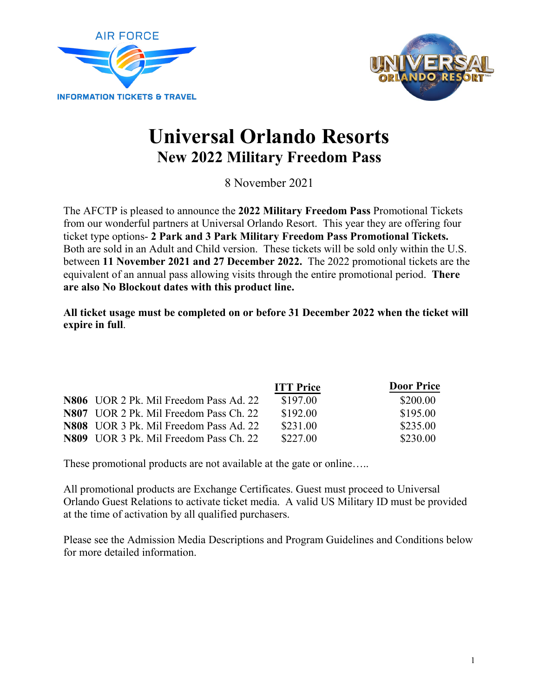



# **Universal Orlando Resorts New 2022 Military Freedom Pass**

8 November 2021

The AFCTP is pleased to announce the **2022 Military Freedom Pass** Promotional Tickets from our wonderful partners at Universal Orlando Resort. This year they are offering four ticket type options- **2 Park and 3 Park Military Freedom Pass Promotional Tickets.** Both are sold in an Adult and Child version. These tickets will be sold only within the U.S. between **11 November 2021 and 27 December 2022.** The 2022 promotional tickets are the equivalent of an annual pass allowing visits through the entire promotional period. **There are also No Blockout dates with this product line.** 

**All ticket usage must be completed on or before 31 December 2022 when the ticket will expire in full**.

|                                        | <b>ITT Price</b> | <b>Door Price</b> |
|----------------------------------------|------------------|-------------------|
| N806 UOR 2 Pk. Mil Freedom Pass Ad. 22 | \$197.00         | \$200.00          |
| N807 UOR 2 Pk. Mil Freedom Pass Ch. 22 | \$192.00         | \$195.00          |
| N808 UOR 3 Pk. Mil Freedom Pass Ad. 22 | \$231.00         | \$235.00          |
| N809 UOR 3 Pk. Mil Freedom Pass Ch. 22 | \$227.00         | \$230.00          |

These promotional products are not available at the gate or online.....

All promotional products are Exchange Certificates. Guest must proceed to Universal Orlando Guest Relations to activate ticket media. A valid US Military ID must be provided at the time of activation by all qualified purchasers.

Please see the Admission Media Descriptions and Program Guidelines and Conditions below for more detailed information.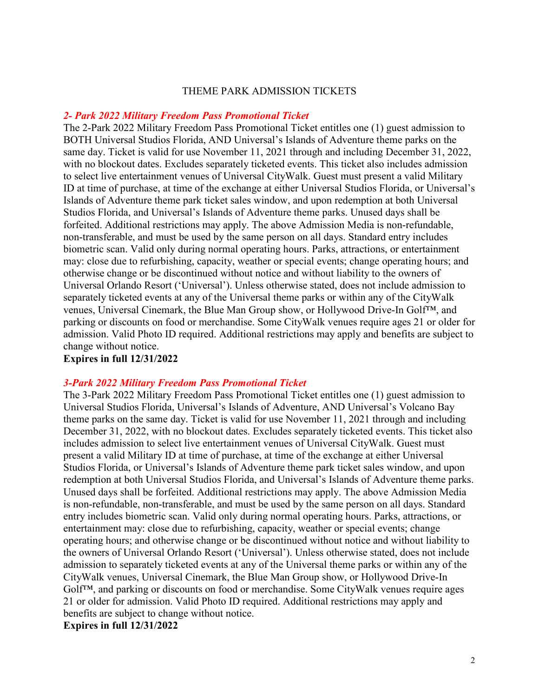## THEME PARK ADMISSION TICKETS

## *2- Park 2022 Military Freedom Pass Promotional Ticket*

The 2-Park 2022 Military Freedom Pass Promotional Ticket entitles one (1) guest admission to BOTH Universal Studios Florida, AND Universal's Islands of Adventure theme parks on the same day. Ticket is valid for use November 11, 2021 through and including December 31, 2022, with no blockout dates. Excludes separately ticketed events. This ticket also includes admission to select live entertainment venues of Universal CityWalk. Guest must present a valid Military ID at time of purchase, at time of the exchange at either Universal Studios Florida, or Universal's Islands of Adventure theme park ticket sales window, and upon redemption at both Universal Studios Florida, and Universal's Islands of Adventure theme parks. Unused days shall be forfeited. Additional restrictions may apply. The above Admission Media is non-refundable, non-transferable, and must be used by the same person on all days. Standard entry includes biometric scan. Valid only during normal operating hours. Parks, attractions, or entertainment may: close due to refurbishing, capacity, weather or special events; change operating hours; and otherwise change or be discontinued without notice and without liability to the owners of Universal Orlando Resort ('Universal'). Unless otherwise stated, does not include admission to separately ticketed events at any of the Universal theme parks or within any of the CityWalk venues, Universal Cinemark, the Blue Man Group show, or Hollywood Drive-In Golf™, and parking or discounts on food or merchandise. Some CityWalk venues require ages 21 or older for admission. Valid Photo ID required. Additional restrictions may apply and benefits are subject to change without notice.

# **Expires in full 12/31/2022**

## *3-Park 2022 Military Freedom Pass Promotional Ticket*

The 3-Park 2022 Military Freedom Pass Promotional Ticket entitles one (1) guest admission to Universal Studios Florida, Universal's Islands of Adventure, AND Universal's Volcano Bay theme parks on the same day. Ticket is valid for use November 11, 2021 through and including December 31, 2022, with no blockout dates. Excludes separately ticketed events. This ticket also includes admission to select live entertainment venues of Universal CityWalk. Guest must present a valid Military ID at time of purchase, at time of the exchange at either Universal Studios Florida, or Universal's Islands of Adventure theme park ticket sales window, and upon redemption at both Universal Studios Florida, and Universal's Islands of Adventure theme parks. Unused days shall be forfeited. Additional restrictions may apply. The above Admission Media is non-refundable, non-transferable, and must be used by the same person on all days. Standard entry includes biometric scan. Valid only during normal operating hours. Parks, attractions, or entertainment may: close due to refurbishing, capacity, weather or special events; change operating hours; and otherwise change or be discontinued without notice and without liability to the owners of Universal Orlando Resort ('Universal'). Unless otherwise stated, does not include admission to separately ticketed events at any of the Universal theme parks or within any of the CityWalk venues, Universal Cinemark, the Blue Man Group show, or Hollywood Drive-In Golf™, and parking or discounts on food or merchandise. Some CityWalk venues require ages 21 or older for admission. Valid Photo ID required. Additional restrictions may apply and benefits are subject to change without notice. **Expires in full 12/31/2022**